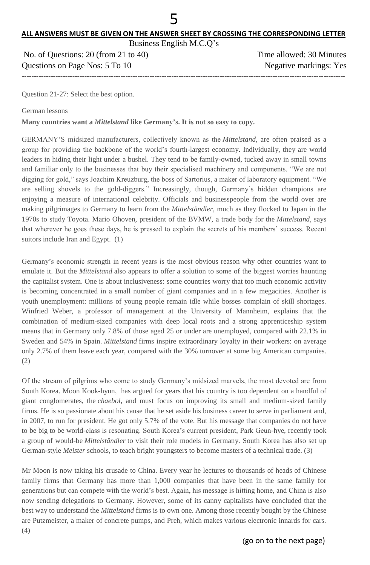# 5 **ALL ANSWERS MUST BE GIVEN ON THE ANSWER SHEET BY CROSSING THE CORRESPONDING LETTER**

--------------------------------------------------------------------------------------------------------------------------------------

Business English M.C.Q's

No. of Questions: 20 (from 21 to 40) Time allowed: 30 Minutes Questions on Page Nos: 5 To 10 Negative markings: Yes

Question 21-27: Select the best option.

German lessons

**Many countries want a** *Mittelstand* **like Germany's. It is not so easy to copy.**

GERMANY'S midsized manufacturers, collectively known as the *Mittelstand*, are often praised as a group for providing the backbone of the world's fourth-largest economy. Individually, they are world leaders in hiding their light under a bushel. They tend to be family-owned, tucked away in small towns and familiar only to the businesses that buy their specialised machinery and components. "We are not digging for gold," says Joachim Kreuzburg, the boss of Sartorius, a maker of laboratory equipment. "We are selling shovels to the gold-diggers." Increasingly, though, Germany's hidden champions are enjoying a measure of international celebrity. Officials and businesspeople from the world over are making pilgrimages to Germany to learn from the *Mittelständler*, much as they flocked to Japan in the 1970s to study Toyota. Mario Ohoven, president of the BVMW, a trade body for the *Mittelstand*, says that wherever he goes these days, he is pressed to explain the secrets of his members' success. Recent suitors include Iran and Egypt. (1)

Germany's economic strength in recent years is the most obvious reason why other countries want to emulate it. But the *Mittelstand* also appears to offer a solution to some of the biggest worries haunting the capitalist system. One is about inclusiveness: some countries worry that too much economic activity is becoming concentrated in a small number of giant companies and in a few megacities. Another is youth unemployment: millions of young people remain idle while bosses complain of skill shortages. Winfried Weber, a professor of management at the University of Mannheim, explains that the combination of medium-sized companies with deep local roots and a strong apprenticeship system means that in Germany only 7.8% of those aged 25 or under are unemployed, compared with 22.1% in Sweden and 54% in Spain. *Mittelstand* firms inspire extraordinary loyalty in their workers: on average only 2.7% of them leave each year, compared with the 30% turnover at some big American companies. (2)

Of the stream of pilgrims who come to study Germany's midsized marvels, the most devoted are from South Korea. Moon Kook-hyun, has argued for years that his country is too dependent on a handful of giant conglomerates, the *chaebol*, and must focus on improving its small and medium-sized family firms. He is so passionate about his cause that he set aside his business career to serve in parliament and, in 2007, to run for president. He got only 5.7% of the vote. But his message that companies do not have to be big to be world-class is resonating. South Korea's current president, Park Geun-hye, recently took a group of would-be *Mittelständler* to visit their role models in Germany. South Korea has also set up German-style *Meister* schools, to teach bright youngsters to become masters of a technical trade. (3)

Mr Moon is now taking his crusade to China. Every year he lectures to thousands of heads of Chinese family firms that Germany has more than 1,000 companies that have been in the same family for generations but can compete with the world's best. Again, his message is hitting home, and China is also now sending delegations to Germany. However, some of its canny capitalists have concluded that the best way to understand the *Mittelstand* firms is to own one. Among those recently bought by the Chinese are Putzmeister, a maker of concrete pumps, and Preh, which makes various electronic innards for cars. (4)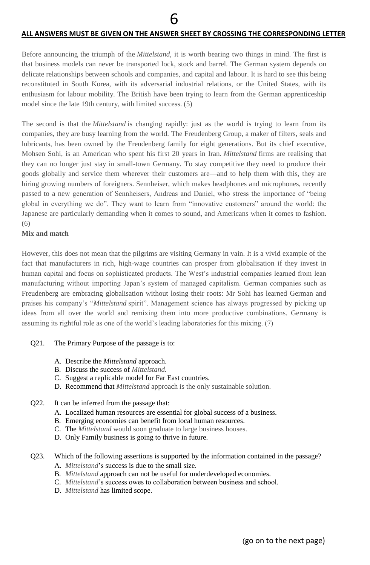# 6

# **ALL ANSWERS MUST BE GIVEN ON THE ANSWER SHEET BY CROSSING THE CORRESPONDING LETTER**

Before announcing the triumph of the *Mittelstand*, it is worth bearing two things in mind. The first is that business models can never be transported lock, stock and barrel. The German system depends on delicate relationships between schools and companies, and capital and labour. It is hard to see this being reconstituted in South Korea, with its adversarial industrial relations, or the United States, with its enthusiasm for labour mobility. The British have been trying to learn from the German apprenticeship model since the late 19th century, with limited success. (5)

The second is that the *Mittelstand* is changing rapidly: just as the world is trying to learn from its companies, they are busy learning from the world. The Freudenberg Group, a maker of filters, seals and lubricants, has been owned by the Freudenberg family for eight generations. But its chief executive, Mohsen Sohi, is an American who spent his first 20 years in Iran. *Mittelstand* firms are realising that they can no longer just stay in small-town Germany. To stay competitive they need to produce their goods globally and service them wherever their customers are—and to help them with this, they are hiring growing numbers of foreigners. Sennheiser, which makes headphones and microphones, recently passed to a new generation of Sennheisers, Andreas and Daniel, who stress the importance of "being global in everything we do". They want to learn from "innovative customers" around the world: the Japanese are particularly demanding when it comes to sound, and Americans when it comes to fashion. (6)

# **Mix and match**

However, this does not mean that the pilgrims are visiting Germany in vain. It is a vivid example of the fact that manufacturers in rich, high-wage countries can prosper from globalisation if they invest in human capital and focus on sophisticated products. The West's industrial companies learned from lean manufacturing without importing Japan's system of managed capitalism. German companies such as Freudenberg are embracing globalisation without losing their roots: Mr Sohi has learned German and praises his company's "*Mittelstand* spirit". Management science has always progressed by picking up ideas from all over the world and remixing them into more productive combinations. Germany is assuming its rightful role as one of the world's leading laboratories for this mixing. (7)

# Q21. The Primary Purpose of the passage is to:

- A. Describe the *Mittelstand* approach.
- B. Discuss the success of *Mittelstand.*
- C. Suggest a replicable model for Far East countries.
- D. Recommend that *Mittelstand* approach is the only sustainable solution.

#### Q22. It can be inferred from the passage that:

- A. Localized human resources are essential for global success of a business.
- B. Emerging economies can benefit from local human resources.
- C. The *Mittelstand* would soon graduate to large business houses.
- D. Only Family business is going to thrive in future.

#### Q23. Which of the following assertions is supported by the information contained in the passage?

- A. *Mittelstand*'s success is due to the small size.
- B. *Mittelstand* approach can not be useful for underdeveloped economies.
- C. *Mittelstand*'s success owes to collaboration between business and school.
- D. *Mittelstand* has limited scope.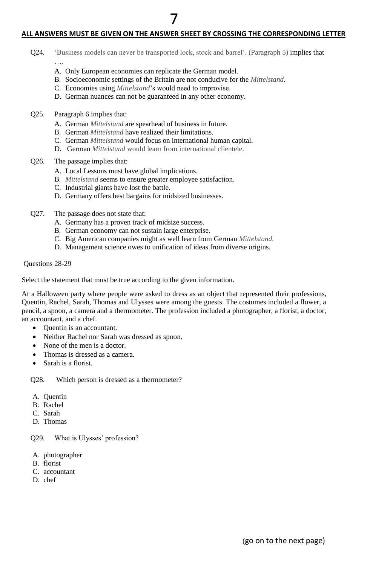7

# **ALL ANSWERS MUST BE GIVEN ON THE ANSWER SHEET BY CROSSING THE CORRESPONDING LETTER**

- Q24. 'Business models can never be transported lock, stock and barrel'. (Paragraph 5) implies that
	- A. Only European economies can replicate the German model.
	- B. Socioeconomic settings of the Britain are not conducive for the *Mittelstand*.
	- C. Economies using *Mittelstand*'s would need to improvise.
	- D. German nuances can not be guaranteed in any other economy.
- Q25. Paragraph 6 implies that:

….

- A. German *Mittelstand* are spearhead of business in future.
- B. German *Mittelstand* have realized their limitations.
- C. German *Mittelstand* would focus on international human capital.
- D. German *Mittelstand* would learn from international clientele.
- Q26. The passage implies that:
	- A. Local Lessons must have global implications.
	- B. *Mittelstand* seems to ensure greater employee satisfaction.
	- C. Industrial giants have lost the battle.
	- D. Germany offers best bargains for midsized businesses.
- Q27. The passage does not state that:
	- A. Germany has a proven track of midsize success.
	- B. German economy can not sustain large enterprise.
	- C. Big American companies might as well learn from German *Mittelstand.*
	- D. Management science owes to unification of ideas from diverse origins.

Questions 28-29

Select the statement that must be true according to the given information.

At a Halloween party where people were asked to dress as an object that represented their professions, Quentin, Rachel, Sarah, Thomas and Ulysses were among the guests. The costumes included a flower, a pencil, a spoon, a camera and a thermometer. The profession included a photographer, a florist, a doctor, an accountant, and a chef.

- Quentin is an accountant.
- Neither Rachel nor Sarah was dressed as spoon.
- None of the men is a doctor.
- Thomas is dressed as a camera.
- Sarah is a florist.

Q28. Which person is dressed as a thermometer?

- A. Quentin
- B. Rachel
- C. Sarah
- D. Thomas

Q29. What is Ulysses' profession?

- A. photographer
- B. florist
- C. accountant
- D. chef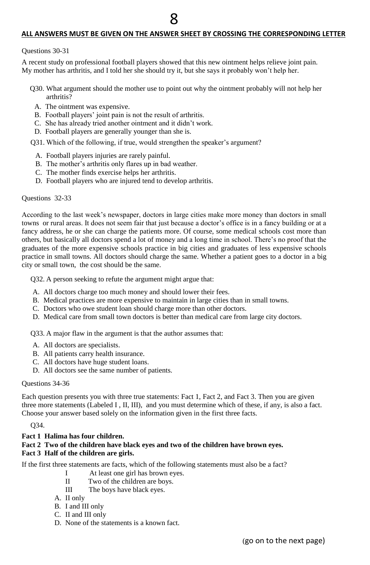# 8 **ALL ANSWERS MUST BE GIVEN ON THE ANSWER SHEET BY CROSSING THE CORRESPONDING LETTER**

# Questions 30-31

A recent study on professional football players showed that this new ointment helps relieve joint pain. My mother has arthritis, and I told her she should try it, but she says it probably won't help her.

- Q30. What argument should the mother use to point out why the ointment probably will not help her arthritis?
	- A. The ointment was expensive.
	- B. Football players' joint pain is not the result of arthritis.
	- C. She has already tried another ointment and it didn't work.
	- D. Football players are generally younger than she is.

Q31. Which of the following, if true, would strengthen the speaker's argument?

- A. Football players injuries are rarely painful.
- B. The mother's arthritis only flares up in bad weather.
- C. The mother finds exercise helps her arthritis.
- D. Football players who are injured tend to develop arthritis.

#### Questions 32-33

According to the last week's newspaper, doctors in large cities make more money than doctors in small towns or rural areas. It does not seem fair that just because a doctor's office is in a fancy building or at a fancy address, he or she can charge the patients more. Of course, some medical schools cost more than others, but basically all doctors spend a lot of money and a long time in school. There's no proof that the graduates of the more expensive schools practice in big cities and graduates of less expensive schools practice in small towns. All doctors should charge the same. Whether a patient goes to a doctor in a big city or small town, the cost should be the same.

Q32. A person seeking to refute the argument might argue that:

- A. All doctors charge too much money and should lower their fees.
- B. Medical practices are more expensive to maintain in large cities than in small towns.
- C. Doctors who owe student loan should charge more than other doctors.
- D. Medical care from small town doctors is better than medical care from large city doctors.

Q33. A major flaw in the argument is that the author assumes that:

- A. All doctors are specialists.
- B. All patients carry health insurance.
- C. All doctors have huge student loans.
- D. All doctors see the same number of patients.

#### Questions 34-36

Each question presents you with three true statements: Fact 1, Fact 2, and Fact 3. Then you are given three more statements (Labeled I , II, III), and you must determine which of these, if any, is also a fact. Choose your answer based solely on the information given in the first three facts.

Q34.

#### **Fact 1 Halima has four children.**

# **Fact 2 Two of the children have black eyes and two of the children have brown eyes. Fact 3 Half of the children are girls.**

If the first three statements are facts, which of the following statements must also be a fact?

- I At least one girl has brown eyes.
- II Two of the children are boys.
- III The boys have black eyes.
- A. II only
- B. I and III only
- C. II and III only
- D. None of the statements is a known fact.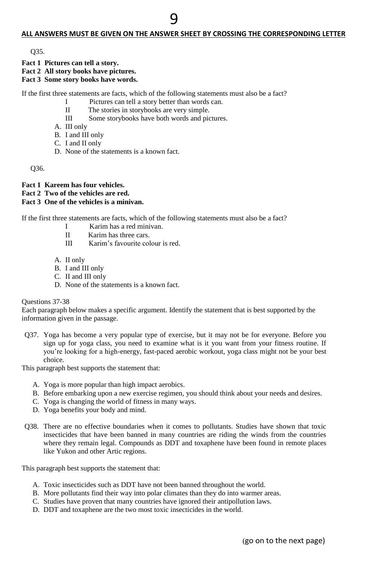# **ALL ANSWERS MUST BE GIVEN ON THE ANSWER SHEET BY CROSSING THE CORRESPONDING LETTER**

Q35.

- **Fact 1 Pictures can tell a story.**
- **Fact 2 All story books have pictures.**

# **Fact 3 Some story books have words.**

If the first three statements are facts, which of the following statements must also be a fact?

- I Pictures can tell a story better than words can.
- II The stories in storybooks are very simple.
- III Some storybooks have both words and pictures.
- A. III only
- B. I and III only
- C. I and II only
- D. None of the statements is a known fact.

Q36.

# **Fact 1 Kareem has four vehicles.**

# **Fact 2 Two of the vehicles are red.**

# **Fact 3 One of the vehicles is a minivan.**

If the first three statements are facts, which of the following statements must also be a fact?

- I Karim has a red minivan.
- II Karim has three cars.
- III Karim's favourite colour is red.
- A. II only
- B. I and III only
- C. II and III only
- D. None of the statements is a known fact.

# Questions 37-38

Each paragraph below makes a specific argument. Identify the statement that is best supported by the information given in the passage.

Q37. Yoga has become a very popular type of exercise, but it may not be for everyone. Before you sign up for yoga class, you need to examine what is it you want from your fitness routine. If you're looking for a high-energy, fast-paced aerobic workout, yoga class might not be your best choice.

This paragraph best supports the statement that:

- A. Yoga is more popular than high impact aerobics.
- B. Before embarking upon a new exercise regimen, you should think about your needs and desires.
- C. Yoga is changing the world of fitness in many ways.
- D. Yoga benefits your body and mind.
- Q38. There are no effective boundaries when it comes to pollutants. Studies have shown that toxic insecticides that have been banned in many countries are riding the winds from the countries where they remain legal. Compounds as DDT and toxaphene have been found in remote places like Yukon and other Artic regions.

This paragraph best supports the statement that:

- A. Toxic insecticides such as DDT have not been banned throughout the world.
- B. More pollutants find their way into polar climates than they do into warmer areas.
- C. Studies have proven that many countries have ignored their antipollution laws.
- D. DDT and toxaphene are the two most toxic insecticides in the world.